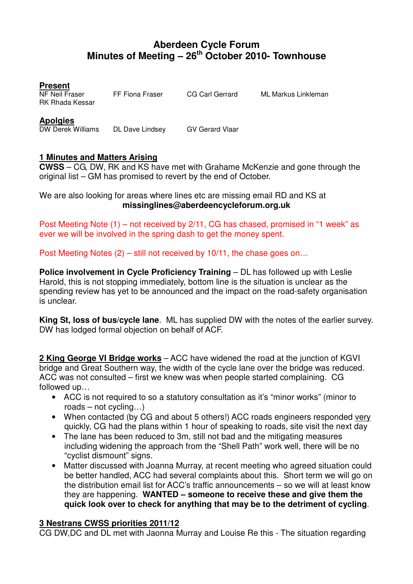## **Aberdeen Cycle Forum Minutes of Meeting – 26th October 2010- Townhouse**

**Present** 

NF Neil Fraser FF Fiona Fraser CG Carl Gerrard ML Markus Linkleman RK Rhada Kessar

**Apolgies** 

DW Derek Williams DL Dave Lindsey GV Gerard Vlaar

## **1 Minutes and Matters Arising**

**CWSS** – CG, DW, RK and KS have met with Grahame McKenzie and gone through the original list – GM has promised to revert by the end of October.

We are also looking for areas where lines etc are missing email RD and KS at **missinglines@aberdeencycleforum.org.uk** 

Post Meeting Note (1) – not received by 2/11, CG has chased, promised in "1 week" as ever we will be involved in the spring dash to get the money spent.

Post Meeting Notes (2) – still not received by 10/11, the chase goes on…

**Police involvement in Cycle Proficiency Training** – DL has followed up with Leslie Harold, this is not stopping immediately, bottom line is the situation is unclear as the spending review has yet to be announced and the impact on the road-safety organisation is unclear.

**King St, loss of bus/cycle lane**. ML has supplied DW with the notes of the earlier survey. DW has lodged formal objection on behalf of ACF.

**2 King George VI Bridge works** – ACC have widened the road at the junction of KGVI bridge and Great Southern way, the width of the cycle lane over the bridge was reduced. ACC was not consulted – first we knew was when people started complaining. CG followed up…

- ACC is not required to so a statutory consultation as it's "minor works" (minor to roads – not cycling…)
- When contacted (by CG and about 5 others!) ACC roads engineers responded very quickly, CG had the plans within 1 hour of speaking to roads, site visit the next day
- The lane has been reduced to 3m, still not bad and the mitigating measures including widening the approach from the "Shell Path" work well, there will be no "cyclist dismount" signs.
- Matter discussed with Joanna Murray, at recent meeting who agreed situation could be better handled, ACC had several complaints about this. Short term we will go on the distribution email list for ACC's traffic announcements – so we will at least know they are happening. **WANTED – someone to receive these and give them the quick look over to check for anything that may be to the detriment of cycling**.

## **3 Nestrans CWSS priorities 2011/12**

CG DW,DC and DL met with Jaonna Murray and Louise Re this - The situation regarding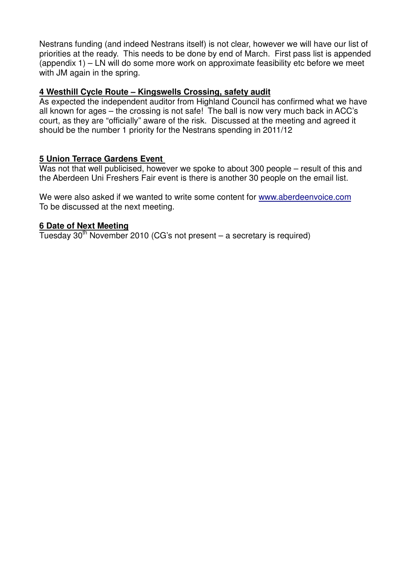Nestrans funding (and indeed Nestrans itself) is not clear, however we will have our list of priorities at the ready. This needs to be done by end of March. First pass list is appended (appendix 1) – LN will do some more work on approximate feasibility etc before we meet with JM again in the spring.

#### **4 Westhill Cycle Route – Kingswells Crossing, safety audit**

As expected the independent auditor from Highland Council has confirmed what we have all known for ages – the crossing is not safe! The ball is now very much back in ACC's court, as they are "officially" aware of the risk. Discussed at the meeting and agreed it should be the number 1 priority for the Nestrans spending in 2011/12

#### **5 Union Terrace Gardens Event**

Was not that well publicised, however we spoke to about 300 people – result of this and the Aberdeen Uni Freshers Fair event is there is another 30 people on the email list.

We were also asked if we wanted to write some content for www.aberdeenvoice.com To be discussed at the next meeting.

#### **6 Date of Next Meeting**

Tuesday  $30<sup>th</sup>$  November 2010 (CG's not present – a secretary is required)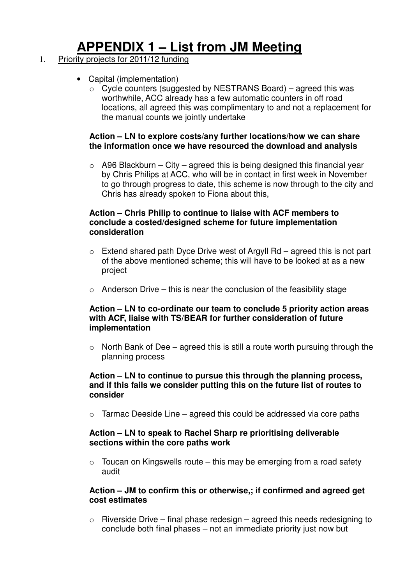# **APPENDIX 1 – List from JM Meeting**

## 1. Priority projects for 2011/12 funding

- Capital (implementation)
	- $\circ$  Cycle counters (suggested by NESTRANS Board) agreed this was worthwhile, ACC already has a few automatic counters in off road locations, all agreed this was complimentary to and not a replacement for the manual counts we jointly undertake

#### **Action – LN to explore costs/any further locations/how we can share the information once we have resourced the download and analysis**

 $\circ$  A96 Blackburn – City – agreed this is being designed this financial year by Chris Philips at ACC, who will be in contact in first week in November to go through progress to date, this scheme is now through to the city and Chris has already spoken to Fiona about this,

#### **Action – Chris Philip to continue to liaise with ACF members to conclude a costed/designed scheme for future implementation consideration**

- $\circ$  Extend shared path Dyce Drive west of Argyll Rd agreed this is not part of the above mentioned scheme; this will have to be looked at as a new project
- $\circ$  Anderson Drive this is near the conclusion of the feasibility stage

#### **Action – LN to co-ordinate our team to conclude 5 priority action areas with ACF, liaise with TS/BEAR for further consideration of future implementation**

 $\circ$  North Bank of Dee – agreed this is still a route worth pursuing through the planning process

#### **Action – LN to continue to pursue this through the planning process, and if this fails we consider putting this on the future list of routes to consider**

 $\circ$  Tarmac Deeside Line – agreed this could be addressed via core paths

#### **Action – LN to speak to Rachel Sharp re prioritising deliverable sections within the core paths work**

 $\circ$  Toucan on Kingswells route – this may be emerging from a road safety audit

#### **Action – JM to confirm this or otherwise,; if confirmed and agreed get cost estimates**

 $\circ$  Riverside Drive – final phase redesign – agreed this needs redesigning to conclude both final phases – not an immediate priority just now but